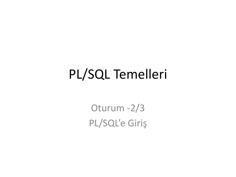### PL/SQL Temelleri

Oturum -2/3 PL/SQL'e Giriş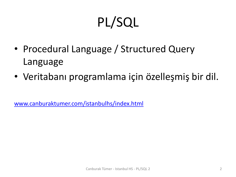# PL/SQL

- Procedural Language / Structured Query Language
- Veritabanı programlama için özelleşmiş bir dil.

[www.canburaktumer.com/istanbulhs/index.html](http://www.canburaktumer.com/istanbulhs/index.html)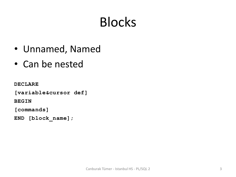# Blocks

- Unnamed, Named
- Can be nested

**DECLARE**

**[variable&cursor def]**

**BEGIN**

**[commands]**

**END [block\_name];**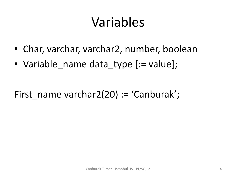### Variables

- Char, varchar, varchar2, number, boolean
- Variable name data type [:= value];

First name varchar2(20) := 'Canburak';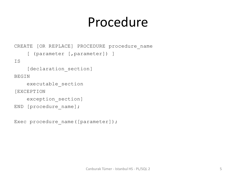#### Procedure

```
CREATE [OR REPLACE] PROCEDURE procedure name
    [ (parameter [, parameter]) ]
IS
    [declaration section]
BEGIN
     executable_section
[EXCEPTION
    exception section]
END [procedure name];
```
Exec procedure name([parameter]);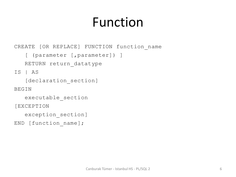## Function

CREATE [OR REPLACE] FUNCTION function\_name

```
 [ (parameter [,parameter]) ]
```
RETURN return\_datatype

IS | AS

[declaration section]

BEGIN

executable\_section

[EXCEPTION

```
 exception_section]
```

```
END [function_name];
```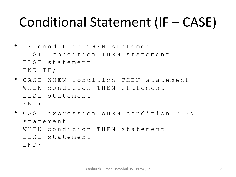#### Conditional Statement (IF – CASE)

- IF condition THEN statement ELSIF condition THEN statement ELSE statement END IF;
- CASE WHEN condition THEN statement WHEN condition THEN statement ELSE statement END;
- CASE expression WHEN condition THEN statement WHEN condition THEN statement ELSE statement END;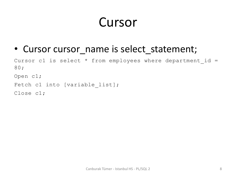### Cursor

• Cursor cursor name is select statement;

Cursor c1 is select  $*$  from employees where department id = 80;

Open c1;

Fetch c1 into [variable list];

Close c1;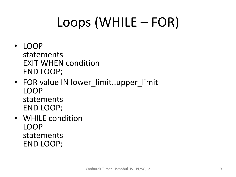# Loops (WHILE – FOR)

- LOOP statements EXIT WHEN condition END LOOP;
- FOR value IN lower\_limit..upper\_limit LOOP statements END LOOP;
- WHILE condition LOOP statements END LOOP;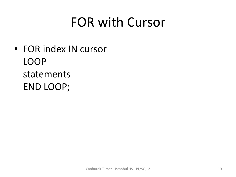### FOR with Cursor

• FOR index IN cursor LOOP statements END LOOP;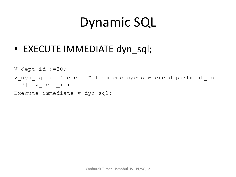## Dynamic SQL

• EXECUTE IMMEDIATE dyn\_sql;

```
V dept id :=80;
V dyn sql := 'select * from employees where department id
= '|| v dept id;
```
Execute immediate v\_dyn\_sql;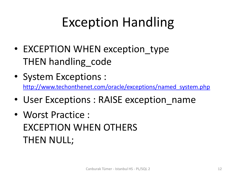## Exception Handling

- EXCEPTION WHEN exception type THEN handling code
- System Exceptions : [http://www.techonthenet.com/oracle/exceptions/named\\_system.php](http://www.techonthenet.com/oracle/exceptions/named_system.php)
- User Exceptions : RAISE exception name
- Worst Practice : EXCEPTION WHEN OTHERS THEN NULL;